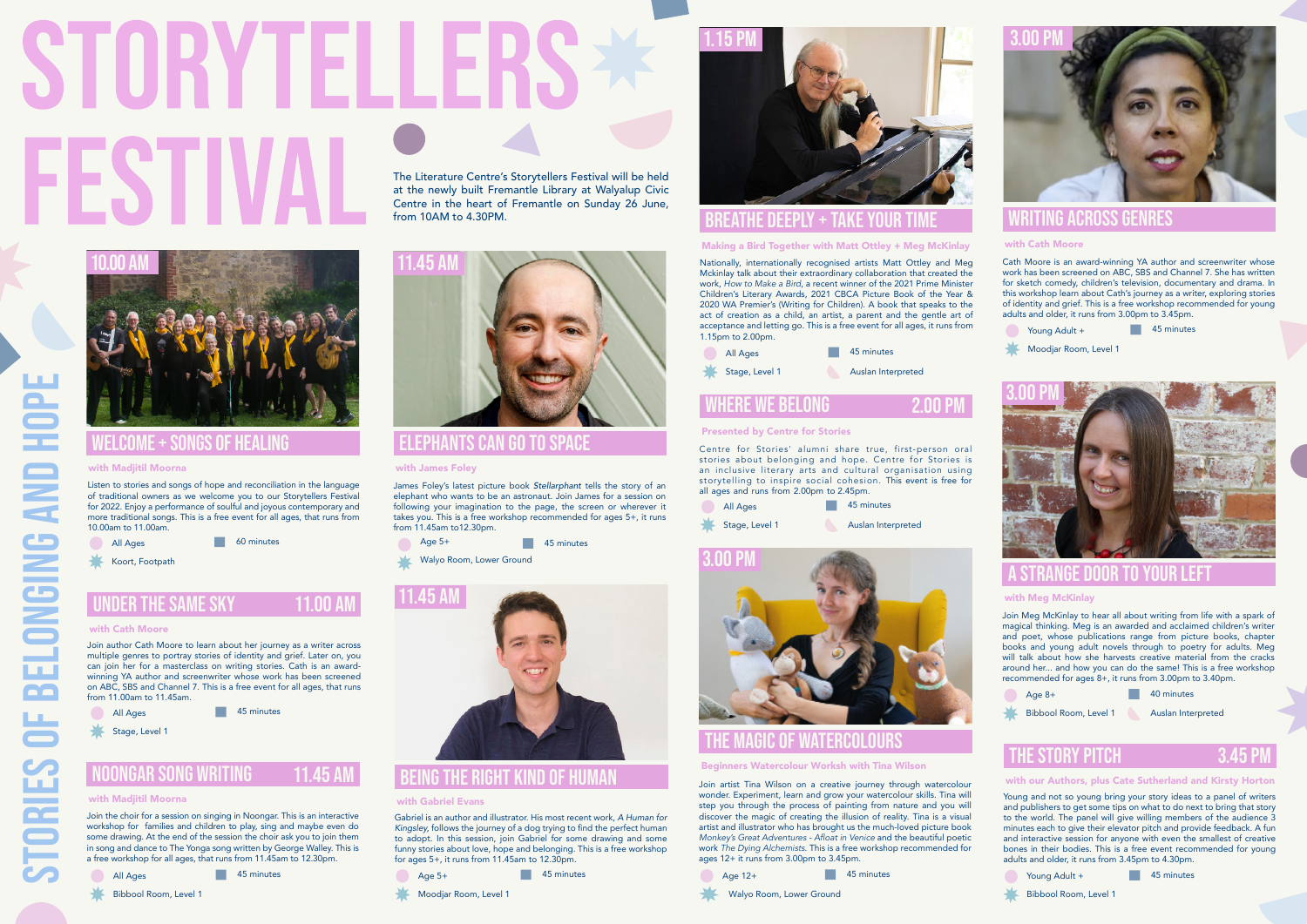STORIES OF BELONGING AND HOPE

**TORIES** 

**BELONGING AND** 

# being the right kind of human

## with Gabriel Evans

Gabriel is an author and illustrator. His most recent work, *A Human for Kingsley,* follows the journey of a dog trying to find the perfect human to adopt. In this session, join Gabriel for some drawing and some funny stories about love, hope and belonging. This is a free workshop for ages 5+, it runs from 11.45am to 12.30pm.



The Literature Centre's Storytellers Festival will be held at the newly built Fremantle Library at Walyalup Civic Centre in the heart of Fremantle on Sunday 26 June, from 10AM to 4.30PM.



James Foley's latest picture book *Stellarphant* tells the story of an elephant who wants to be an astronaut. Join James for a session on following your imagination to the page, the screen or wherever it takes you. This is a free workshop recommended for ages 5+, it runs from 11.45am to12.30pm.

# elephants can go to space

# with James Foley

Cath Moore is an award-winning YA author and screenwriter whose work has been screened on ABC, SBS and Channel 7. She has written for sketch comedy, children's television, documentary and drama. In this workshop learn about Cath's journey as a writer, exploring stories of identity and grief. This is a free workshop recommended for young adults and older, it runs from 3.00pm to 3.45pm.

45 minutes Young Adult +



Moodjar Room, Level 1

# writing across genres

### with Cath Moore



Join Meg McKinlay to hear all about writing from life with a spark of magical thinking. Meg is an awarded and acclaimed children's writer and poet, whose publications range from picture books, chapter books and young adult novels through to poetry for adults. Meg will talk about how she harvests creative material from the cracks around her... and how you can do the same! This is a free workshop recommended for ages 8+, it runs from 3.00pm to 3.40pm.

45 minutes All Ages

- Stage, Level 1
- 
- 

# a strange door to your left

# with Meg McKinlay

3.00 Pm

Age 8+



40 minutes

Bibbool Room, Level 1 Auslan Interpreted

Centre for Stories' alumni share true, first-person oral stories about belonging and hope. Centre for Stories is an inclusive literary arts and cultural organisation using storytelling to inspire social cohesion. This event is free for all ages and runs from  $2.00$ pm to  $2.45$ pm.

> Young and not so young bring your story ideas to a panel of writers and publishers to get some tips on what to do next to bring that story to the world. The panel will give willing members of the audience 3 minutes each to give their elevator pitch and provide feedback. A fun and interactive session for anyone with even the smallest of creative bones in their bodies. This is a free event recommended for young adults and older, it runs from 3.45pm to 4.30pm.



# the story pitch

### with our Authors, plus Cate Sutherland and Kirsty Horton

3.45 Pm

Young Adult +

45 minutes

Bibbool Room, Level 1



45 minutes All Ages

Bibbool Room, Level 1



Moodjar Room, Level 1

### noongar song writing 11 45 AI

# with Madiitil Moorna

Join artist Tina Wilson on a creative journey through watercolour wonder. Experiment, learn and grow your watercolour skills. Tina will step you through the process of painting from nature and you will discover the magic of creating the illusion of reality. Tina is a visual artist and illustrator who has brought us the much-loved picture book Monkey's Great Adventures - Afloat in Venice and the beautiful poetic work The Dying Alchemists. This is a free workshop recommended for ages 12+ it runs from 3.00pm to 3.45pm.

# the magic of watercolours

# Beginners Watercolour Worksh with Tina Wilson





Join author Cath Moore to learn about her journey as a writer across multiple genres to portray stories of identity and grief. Later on, you can join her for a masterclass on writing stories. Cath is an awardwinning YA author and screenwriter whose work has been screened on ABC, SBS and Channel 7. This is a free event for all ages, that runs from 11.00am to 11.45am.

# with Cath Moore

Listen to stories and songs of hope and reconciliation in the language of traditional owners as we welcome you to our Storytellers Festival for 2022. Enjoy a performance of soulful and joyous contemporary and more traditional songs. This is a free event for all ages, that runs from 10.00am to 11.00am.

# welcome + songs of healing

# with Madiitil Moorna





60 minutes

Koort, Footpath

# **UNDER THE SAME SKY**

11.00 A

### Presented by Centre for Stories

| All Ages       | 45 minutes         |
|----------------|--------------------|
| Stage, Level 1 | Auslan Interpreted |



Nationally, internationally recognised artists Matt Ottley and Meg Mckinlay talk about their extraordinary collaboration that created the work, How to Make a Bird, a recent winner of the 2021 Prime Minister Children's Literary Awards, 2021 CBCA Picture Book of the Year & 2020 WA Premier's (Writing for Children). A book that speaks to the act of creation as a child, an artist, a parent and the gentle art of acceptance and letting go. This is a free event for all ages, it runs from 1.15pm to 2.00pm.

# breathe deeply + take your time

# Making a Bird Together with Matt Ottley + Meg McKinlay





Walyo Room, Lower Ground

Join the choir for a session on singing in Noongar. This is an interactive workshop for families and children to play, sing and maybe even do some drawing. At the end of the session the choir ask you to join them in song and dance to The Yonga song written by George Walley. This is a free workshop for all ages, that runs from 11.45am to 12.30pm.